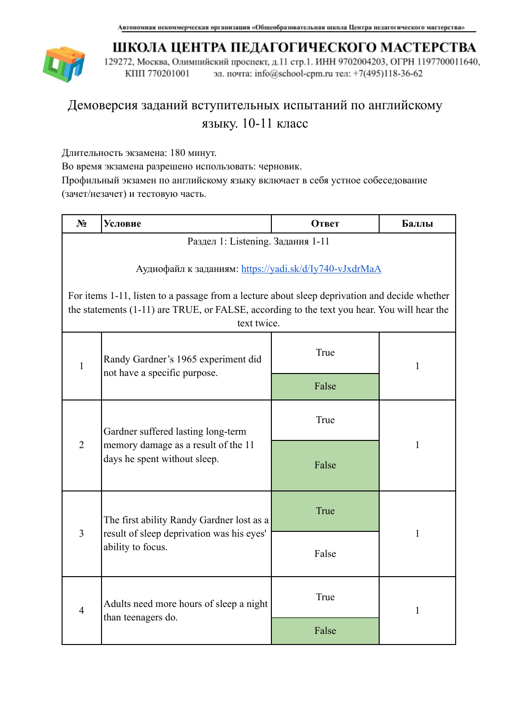ШКОЛА ЦЕНТРА ПЕДАГОГИЧЕСКОГО МАСТЕРСТВА 129272, Москва, Олимпийский проспект, д.11 стр.1. ИНН 9702004203, ОГРН 1197700011640, КПП 770201001 эл. почта: info@school-cpm.ru тел: +7(495)118-36-62

# Демоверсия заданий вступительных испытаний по английскому языку. 10-11 класс

Длительность экзамена: 180 минут.

Во время экзамена разрешено использовать: черновик.

Профильный экзамен по английскому языку включает в себя устное собеседование (зачет/незачет) и тестовую часть.

| $N_2$                                                               | Условие                                                                                                                                                                                                     | <b>Ответ</b>                                          | Баллы        |  |
|---------------------------------------------------------------------|-------------------------------------------------------------------------------------------------------------------------------------------------------------------------------------------------------------|-------------------------------------------------------|--------------|--|
|                                                                     | Раздел 1: Listening. Задания 1-11                                                                                                                                                                           |                                                       |              |  |
|                                                                     | Аудиофайл к заданиям: https://yadi.sk/d/Iy740-vJxdrMaA                                                                                                                                                      |                                                       |              |  |
|                                                                     | For items 1-11, listen to a passage from a lecture about sleep deprivation and decide whether<br>the statements (1-11) are TRUE, or FALSE, according to the text you hear. You will hear the<br>text twice. |                                                       |              |  |
| $\mathbf{1}$                                                        | Randy Gardner's 1965 experiment did<br>not have a specific purpose.                                                                                                                                         | True                                                  | $\mathbf{1}$ |  |
|                                                                     |                                                                                                                                                                                                             | False                                                 |              |  |
| $\overline{2}$                                                      | Gardner suffered lasting long-term                                                                                                                                                                          | True<br>$\mathbf{1}$<br>False<br>True<br>$\mathbf{1}$ |              |  |
|                                                                     | memory damage as a result of the 11<br>days he spent without sleep.                                                                                                                                         |                                                       |              |  |
|                                                                     | The first ability Randy Gardner lost as a                                                                                                                                                                   |                                                       |              |  |
| 3<br>result of sleep deprivation was his eyes'<br>ability to focus. | False                                                                                                                                                                                                       |                                                       |              |  |
| 4                                                                   | Adults need more hours of sleep a night<br>than teenagers do.                                                                                                                                               | True                                                  | $\mathbf{1}$ |  |
|                                                                     |                                                                                                                                                                                                             | False                                                 |              |  |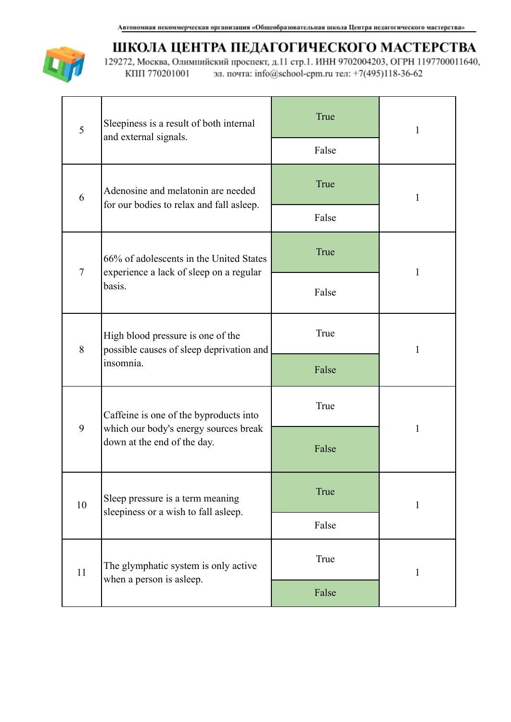

| 5      | Sleepiness is a result of both internal<br>and external signals.                   | True  | $\mathbf{1}$ |
|--------|------------------------------------------------------------------------------------|-------|--------------|
|        |                                                                                    | False |              |
| 6      | Adenosine and melatonin are needed<br>for our bodies to relax and fall asleep.     | True  | 1            |
|        |                                                                                    | False |              |
| $\tau$ | 66% of adolescents in the United States<br>experience a lack of sleep on a regular | True  | $\mathbf{1}$ |
|        | basis.                                                                             | False |              |
| 8      | High blood pressure is one of the<br>possible causes of sleep deprivation and      | True  | $\mathbf{1}$ |
|        | insomnia.                                                                          | False |              |
|        | Caffeine is one of the byproducts into                                             | True  |              |
| 9      | which our body's energy sources break<br>down at the end of the day.               | False | $\mathbf{1}$ |
| 10     | Sleep pressure is a term meaning<br>sleepiness or a wish to fall asleep.           | True  | $\mathbf{1}$ |
|        |                                                                                    | False |              |
| 11     | The glymphatic system is only active<br>when a person is asleep.                   | True  | $\mathbf{1}$ |
|        |                                                                                    | False |              |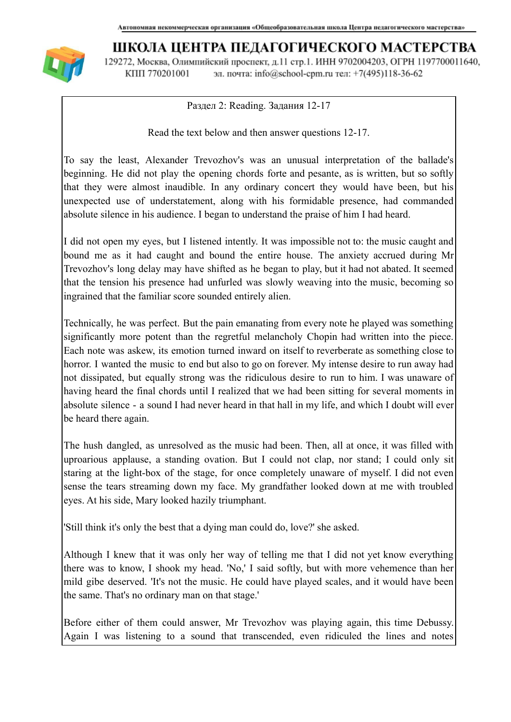129272, Москва, Олимпийский проспект, д.11 стр.1. ИНН 9702004203, ОГРН 1197700011640, КПП 770201001 эл. почта: info@school-cpm.ru тел: +7(495)118-36-62

Раздел 2: Reading. Задания 12-17

Read the text below and then answer questions 12-17.

To say the least, Alexander Trevozhov's was an unusual interpretation of the ballade's beginning. He did not play the opening chords forte and pesante, as is written, but so softly that they were almost inaudible. In any ordinary concert they would have been, but his unexpected use of understatement, along with his formidable presence, had commanded absolute silence in his audience. I began to understand the praise of him I had heard.

I did not open my eyes, but I listened intently. It was impossible not to: the music caught and bound me as it had caught and bound the entire house. The anxiety accrued during Mr Trevozhov's long delay may have shifted as he began to play, but it had not abated. It seemed that the tension his presence had unfurled was slowly weaving into the music, becoming so ingrained that the familiar score sounded entirely alien.

Technically, he was perfect. But the pain emanating from every note he played was something significantly more potent than the regretful melancholy Chopin had written into the piece. Each note was askew, its emotion turned inward on itself to reverberate as something close to horror. I wanted the music to end but also to go on forever. My intense desire to run away had not dissipated, but equally strong was the ridiculous desire to run to him. I was unaware of having heard the final chords until I realized that we had been sitting for several moments in absolute silence - a sound I had never heard in that hall in my life, and which I doubt will ever be heard there again.

The hush dangled, as unresolved as the music had been. Then, all at once, it was filled with uproarious applause, a standing ovation. But I could not clap, nor stand; I could only sit staring at the light-box of the stage, for once completely unaware of myself. I did not even sense the tears streaming down my face. My grandfather looked down at me with troubled eyes. At his side, Mary looked hazily triumphant.

'Still think it's only the best that a dying man could do, love?' she asked.

Although I knew that it was only her way of telling me that I did not yet know everything there was to know, I shook my head. 'No,' I said softly, but with more vehemence than her mild gibe deserved. 'It's not the music. He could have played scales, and it would have been the same. That's no ordinary man on that stage.'

Before either of them could answer, Mr Trevozhov was playing again, this time Debussy. Again I was listening to a sound that transcended, even ridiculed the lines and notes

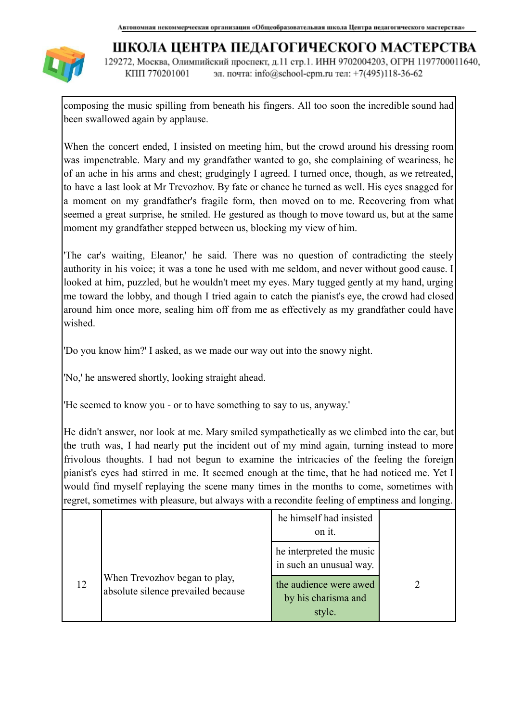

129272, Москва, Олимпийский проспект, д.11 стр.1. ИНН 9702004203, ОГРН 1197700011640, КПП 770201001 эл. почта: info@school-cpm.ru тел: +7(495)118-36-62

composing the music spilling from beneath his fingers. All too soon the incredible sound had been swallowed again by applause.

When the concert ended, I insisted on meeting him, but the crowd around his dressing room was impenetrable. Mary and my grandfather wanted to go, she complaining of weariness, he of an ache in his arms and chest; grudgingly I agreed. I turned once, though, as we retreated, to have a last look at Mr Trevozhov. By fate or chance he turned as well. His eyes snagged for a moment on my grandfather's fragile form, then moved on to me. Recovering from what seemed a great surprise, he smiled. He gestured as though to move toward us, but at the same moment my grandfather stepped between us, blocking my view of him.

'The car's waiting, Eleanor,' he said. There was no question of contradicting the steely authority in his voice; it was a tone he used with me seldom, and never without good cause. I looked at him, puzzled, but he wouldn't meet my eyes. Mary tugged gently at my hand, urging me toward the lobby, and though I tried again to catch the pianist's eye, the crowd had closed around him once more, sealing him off from me as effectively as my grandfather could have wished.

'Do you know him?' I asked, as we made our way out into the snowy night.

'No,' he answered shortly, looking straight ahead.

'He seemed to know you - or to have something to say to us, anyway.'

He didn't answer, nor look at me. Mary smiled sympathetically as we climbed into the car, but the truth was, I had nearly put the incident out of my mind again, turning instead to more frivolous thoughts. I had not begun to examine the intricacies of the feeling the foreign pianist's eyes had stirred in me. It seemed enough at the time, that he had noticed me. Yet I would find myself replaying the scene many times in the months to come, sometimes with regret, sometimes with pleasure, but always with a recondite feeling of emptiness and longing.

|    |                                                                     | he himself had insisted<br>on it.                       |  |
|----|---------------------------------------------------------------------|---------------------------------------------------------|--|
|    |                                                                     | he interpreted the music<br>in such an unusual way.     |  |
| 12 | When Trevozhov began to play,<br>absolute silence prevailed because | the audience were awed<br>by his charisma and<br>style. |  |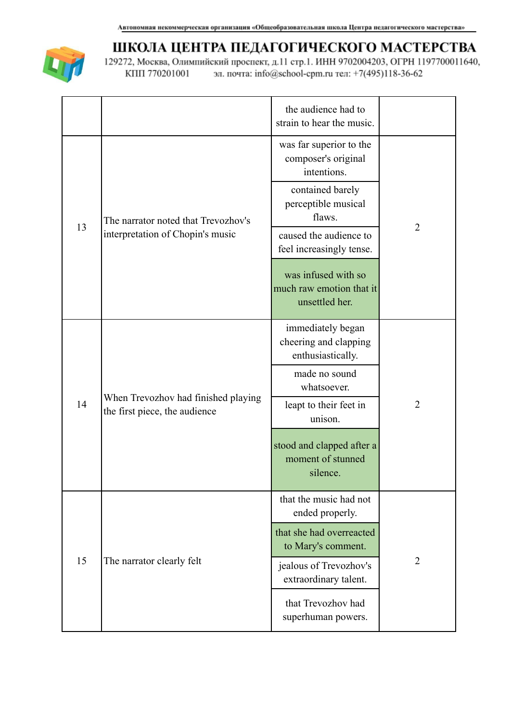

|    |                                                                      | the audience had to<br>strain to hear the music.                  |                |
|----|----------------------------------------------------------------------|-------------------------------------------------------------------|----------------|
|    |                                                                      | was far superior to the<br>composer's original<br>intentions.     |                |
|    | The narrator noted that Trevozhov's                                  | contained barely<br>perceptible musical<br>flaws.                 |                |
| 13 | interpretation of Chopin's music                                     | caused the audience to<br>feel increasingly tense.                | $\overline{2}$ |
|    |                                                                      | was infused with so<br>much raw emotion that it<br>unsettled her. |                |
|    |                                                                      | immediately began<br>cheering and clapping<br>enthusiastically.   |                |
|    |                                                                      | made no sound<br>whatsoever.                                      |                |
| 14 | When Trevozhov had finished playing<br>the first piece, the audience | leapt to their feet in<br>unison.                                 | $\overline{2}$ |
|    |                                                                      | stood and clapped after a<br>moment of stunned<br>silence.        |                |
|    |                                                                      | that the music had not<br>ended properly.                         |                |
|    |                                                                      | that she had overreacted<br>to Mary's comment.                    |                |
| 15 | The narrator clearly felt                                            | jealous of Trevozhov's<br>extraordinary talent.                   | $\overline{2}$ |
|    |                                                                      | that Trevozhov had<br>superhuman powers.                          |                |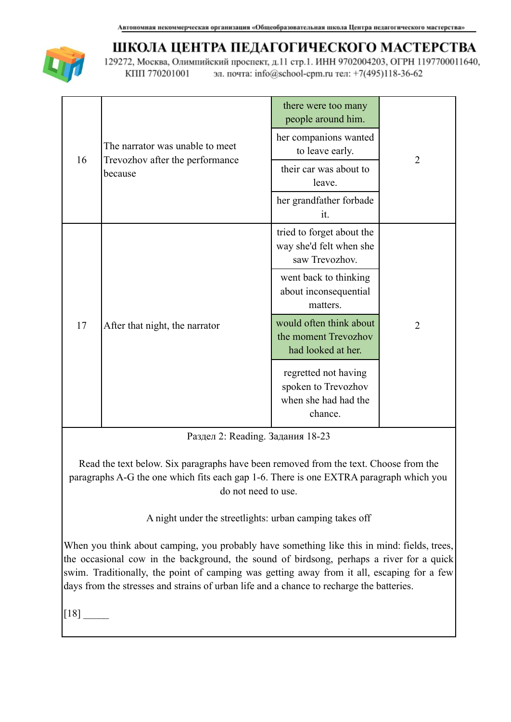

129272, Москва, Олимпийский проспект, д.11 стр.1. ИНН 9702004203, ОГРН 1197700011640, КПП 770201001 эл. почта: info@school-cpm.ru тел: +7(495)118-36-62

|    |                                            | there were too many<br>people around him.                                      |                |
|----|--------------------------------------------|--------------------------------------------------------------------------------|----------------|
| 16 | The narrator was unable to meet            | her companions wanted<br>to leave early.                                       | $\overline{2}$ |
|    | Trevozhov after the performance<br>because | their car was about to<br>leave.                                               |                |
|    |                                            | her grandfather forbade<br>it.                                                 |                |
|    |                                            | tried to forget about the<br>way she'd felt when she<br>saw Trevozhov.         |                |
|    |                                            | went back to thinking<br>about inconsequential<br>matters.                     |                |
| 17 | After that night, the narrator             | would often think about<br>the moment Trevozhov<br>had looked at her.          | $\overline{2}$ |
|    |                                            | regretted not having<br>spoken to Trevozhov<br>when she had had the<br>chance. |                |

Раздел 2: Reading. Задания 18-23

Read the text below. Six paragraphs have been removed from the text. Choose from the paragraphs A-G the one which fits each gap 1-6. There is one EXTRA paragraph which you do not need to use.

A night under the streetlights: urban camping takes off

When you think about camping, you probably have something like this in mind: fields, trees, the occasional cow in the background, the sound of birdsong, perhaps a river for a quick swim. Traditionally, the point of camping was getting away from it all, escaping for a few days from the stresses and strains of urban life and a chance to recharge the batteries.

[18] \_\_\_\_\_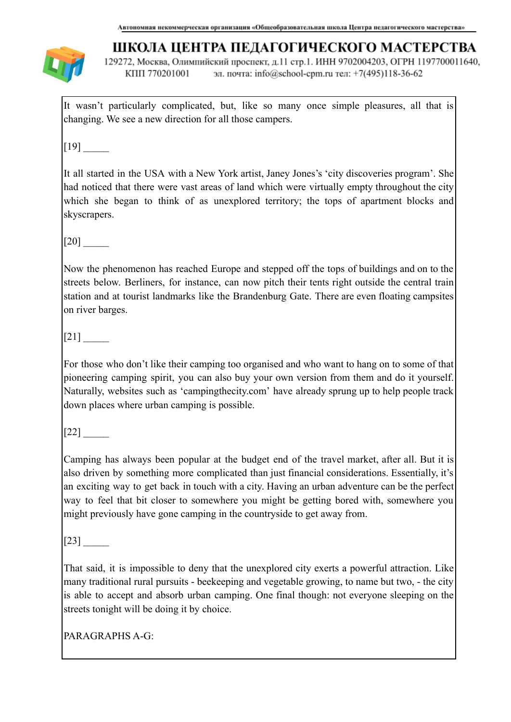

129272, Москва, Олимпийский проспект, д.11 стр.1. ИНН 9702004203, ОГРН 1197700011640, КПП 770201001 эл. почта: info@school-cpm.ru тел: +7(495)118-36-62

It wasn't particularly complicated, but, like so many once simple pleasures, all that is changing. We see a new direction for all those campers.

 $[19]$ 

It all started in the USA with a New York artist, Janey Jones's 'city discoveries program'. She had noticed that there were vast areas of land which were virtually empty throughout the city which she began to think of as unexplored territory; the tops of apartment blocks and skyscrapers.

 $[20]$ 

Now the phenomenon has reached Europe and stepped off the tops of buildings and on to the streets below. Berliners, for instance, can now pitch their tents right outside the central train station and at tourist landmarks like the Brandenburg Gate. There are even floating campsites on river barges.

 $[21]$ 

For those who don't like their camping too organised and who want to hang on to some of that pioneering camping spirit, you can also buy your own version from them and do it yourself. Naturally, websites such as 'campingthecity.com' have already sprung up to help people track down places where urban camping is possible.

 $[22]$ 

Camping has always been popular at the budget end of the travel market, after all. But it is also driven by something more complicated than just financial considerations. Essentially, it's an exciting way to get back in touch with a city. Having an urban adventure can be the perfect way to feel that bit closer to somewhere you might be getting bored with, somewhere you might previously have gone camping in the countryside to get away from.

 $[23]$ 

That said, it is impossible to deny that the unexplored city exerts a powerful attraction. Like many traditional rural pursuits - beekeeping and vegetable growing, to name but two, - the city is able to accept and absorb urban camping. One final though: not everyone sleeping on the streets tonight will be doing it by choice.

PARAGRAPHS A-G: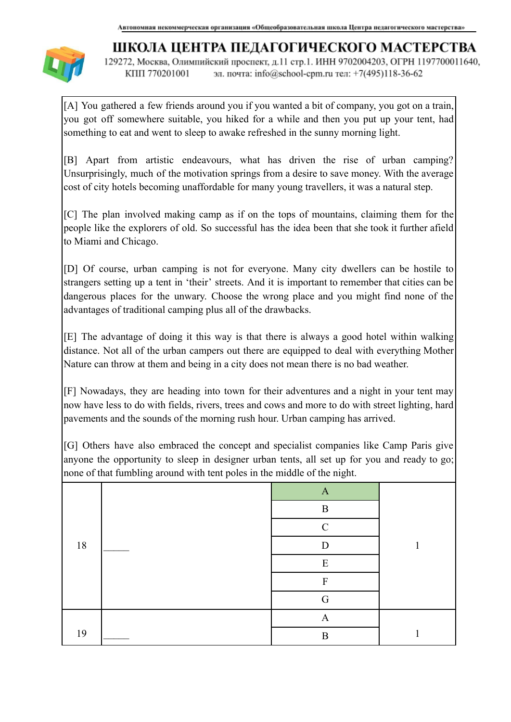

129272, Москва, Олимпийский проспект, д.11 стр.1. ИНН 9702004203, ОГРН 1197700011640, КПП 770201001 эл. почта: info@school-cpm.ru тел: +7(495)118-36-62

[A] You gathered a few friends around you if you wanted a bit of company, you got on a train, you got off somewhere suitable, you hiked for a while and then you put up your tent, had something to eat and went to sleep to awake refreshed in the sunny morning light.

[B] Apart from artistic endeavours, what has driven the rise of urban camping? Unsurprisingly, much of the motivation springs from a desire to save money. With the average cost of city hotels becoming unaffordable for many young travellers, it was a natural step.

[C] The plan involved making camp as if on the tops of mountains, claiming them for the people like the explorers of old. So successful has the idea been that she took it further afield to Miami and Chicago.

[D] Of course, urban camping is not for everyone. Many city dwellers can be hostile to strangers setting up a tent in 'their' streets. And it is important to remember that cities can be dangerous places for the unwary. Choose the wrong place and you might find none of the advantages of traditional camping plus all of the drawbacks.

[E] The advantage of doing it this way is that there is always a good hotel within walking distance. Not all of the urban campers out there are equipped to deal with everything Mother Nature can throw at them and being in a city does not mean there is no bad weather.

[F] Nowadays, they are heading into town for their adventures and a night in your tent may now have less to do with fields, rivers, trees and cows and more to do with street lighting, hard pavements and the sounds of the morning rush hour. Urban camping has arrived.

[G] Others have also embraced the concept and specialist companies like Camp Paris give anyone the opportunity to sleep in designer urban tents, all set up for you and ready to go; none of that fumbling around with tent poles in the middle of the night.

|    | A                  |  |
|----|--------------------|--|
|    | B                  |  |
|    | $\curvearrowright$ |  |
| 18 |                    |  |
|    | E                  |  |
|    | F                  |  |
|    | G                  |  |
|    | A                  |  |
| 19 | R                  |  |
|    |                    |  |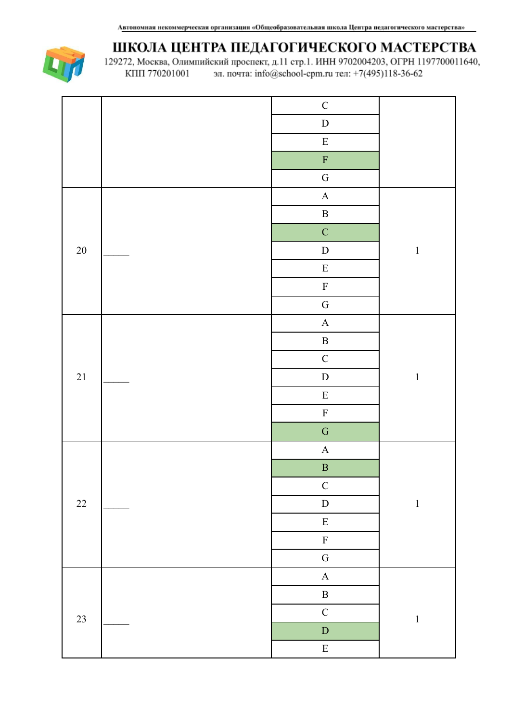

|        | $\mathbf C$               |              |
|--------|---------------------------|--------------|
|        | ${\bf D}$                 |              |
|        | $\mathbf E$               |              |
|        | $\mathbf{F}% _{0}$        |              |
|        | $\overline{G}$            |              |
|        | $\mathbf{A}$              |              |
|        | $\, {\bf B}$              |              |
|        | $\mathbf C$               |              |
| $20\,$ | $\mathbf D$               | $\mathbf{1}$ |
|        | ${\bf E}$                 |              |
|        | $\mathbf F$               |              |
|        | ${\bf G}$                 |              |
|        | $\mathbf{A}$              |              |
|        | $\, {\bf B}$              |              |
|        | $\mathbf C$               |              |
| $21\,$ | $\label{eq:1} \mathbf{D}$ | $\mathbf{1}$ |
|        | $\mathbf E$               |              |
|        | $\boldsymbol{\mathrm{F}}$ |              |
|        | ${\bf G}$                 |              |
|        | $\mathbf A$               |              |
|        | $\, {\bf B}$              |              |
|        | $\mathsf C$               |              |
| $22\,$ | $\mathbf D$               | $\,1$        |
|        | ${\bf E}$                 |              |
|        | $\overline{\mathrm{F}}$   |              |
|        | ${\bf G}$                 |              |
|        | $\mathbf A$               |              |
|        | $\, {\bf B}$              |              |
| 23     | $\mathbf C$               | $\,1$        |
|        | $\label{eq:1} \mathbf{D}$ |              |
|        | $\mathbf E$               |              |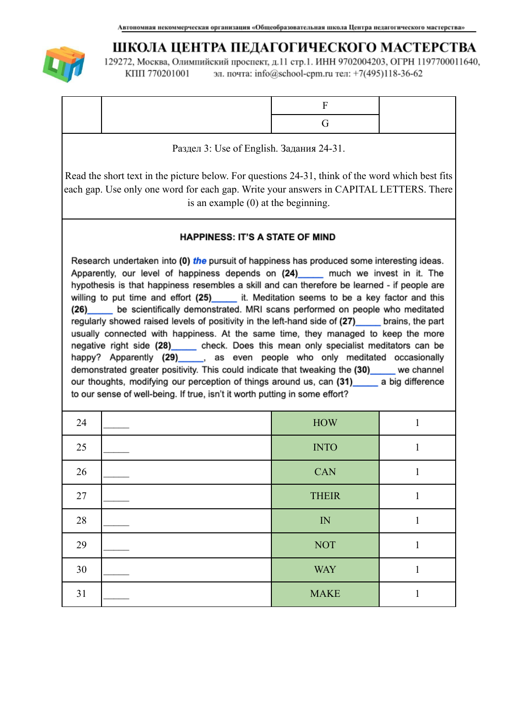129272, Москва, Олимпийский проспект, д.11 стр.1. ИНН 9702004203, ОГРН 1197700011640, КПП 770201001 эл. почта: info@school-cpm.ru тел: +7(495)118-36-62

Раздел 3: Use of English. Задания 24-31.

Read the short text in the picture below. For questions 24-31, think of the word which best fits each gap. Use only one word for each gap. Write your answers in CAPITAL LETTERS. There is an example (0) at the beginning.

### **HAPPINESS: IT'S A STATE OF MIND**

Research undertaken into (0) the pursuit of happiness has produced some interesting ideas. Apparently, our level of happiness depends on (24) much we invest in it. The hypothesis is that happiness resembles a skill and can therefore be learned - if people are willing to put time and effort (25) it. Meditation seems to be a key factor and this be scientifically demonstrated. MRI scans performed on people who meditated  $(26)$ regularly showed raised levels of positivity in the left-hand side of (27) brains, the part usually connected with happiness. At the same time, they managed to keep the more negative right side (28) \_\_\_\_\_ check. Does this mean only specialist meditators can be happy? Apparently (29)\_\_\_\_\_\_, as even people who only meditated occasionally demonstrated greater positivity. This could indicate that tweaking the (30) we channel our thoughts, modifying our perception of things around us, can (31) \_\_\_\_\_ a big difference to our sense of well-being. If true, isn't it worth putting in some effort?

| 24 | <b>HOW</b>   |         |
|----|--------------|---------|
| 25 | <b>INTO</b>  |         |
| 26 | <b>CAN</b>   | -1<br>1 |
| 27 | <b>THEIR</b> | 1       |
| 28 | ${\rm IN}$   | 1       |
| 29 | <b>NOT</b>   |         |
| 30 | <b>WAY</b>   |         |
| 31 | <b>MAKE</b>  |         |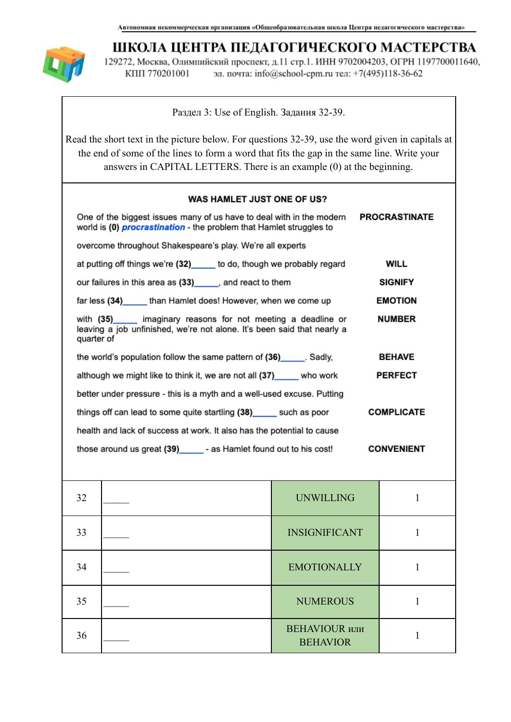

129272, Москва, Олимпийский проспект, д.11 стр.1. ИНН 9702004203, ОГРН 1197700011640, КПП 770201001 эл. почта: info@school-cpm.ru тел: +7(495)118-36-62

Раздел 3: Use of English. Задания 32-39.

Read the short text in the picture below. For questions 32-39, use the word given in capitals at the end of some of the lines to form a word that fits the gap in the same line. Write your answers in CAPITAL LETTERS. There is an example (0) at the beginning.

### WAS HAMLET JUST ONE OF US?

| One of the biggest issues many of us have to deal with in the modern<br>world is (0) <i>procrastination</i> - the problem that Hamlet struggles to       | <b>PROCRASTINATE</b> |  |
|----------------------------------------------------------------------------------------------------------------------------------------------------------|----------------------|--|
| overcome throughout Shakespeare's play. We're all experts                                                                                                |                      |  |
| at putting off things we're (32) to do, though we probably regard                                                                                        | <b>WILL</b>          |  |
| our failures in this area as (33) ______, and react to them                                                                                              | <b>SIGNIFY</b>       |  |
| far less (34) ______ than Hamlet does! However, when we come up                                                                                          | <b>EMOTION</b>       |  |
| with (35)______ imaginary reasons for not meeting a deadline or<br>leaving a job unfinished, we're not alone. It's been said that nearly a<br>quarter of | <b>NUMBER</b>        |  |
| the world's population follow the same pattern of (36) ______. Sadly,                                                                                    | <b>BEHAVE</b>        |  |
| although we might like to think it, we are not all (37) who work                                                                                         | <b>PERFECT</b>       |  |
| better under pressure - this is a myth and a well-used excuse. Putting                                                                                   |                      |  |
| things off can lead to some quite startling (38) ______ such as poor                                                                                     | <b>COMPLICATE</b>    |  |
| health and lack of success at work. It also has the potential to cause                                                                                   |                      |  |
| those around us great (39) ______ - as Hamlet found out to his cost!                                                                                     | <b>CONVENIENT</b>    |  |

| 32 | <b>UNWILLING</b>                        |  |
|----|-----------------------------------------|--|
| 33 | <b>INSIGNIFICANT</b>                    |  |
| 34 | <b>EMOTIONALLY</b>                      |  |
| 35 | <b>NUMEROUS</b>                         |  |
| 36 | <b>BEHAVIOUR или</b><br><b>BEHAVIOR</b> |  |